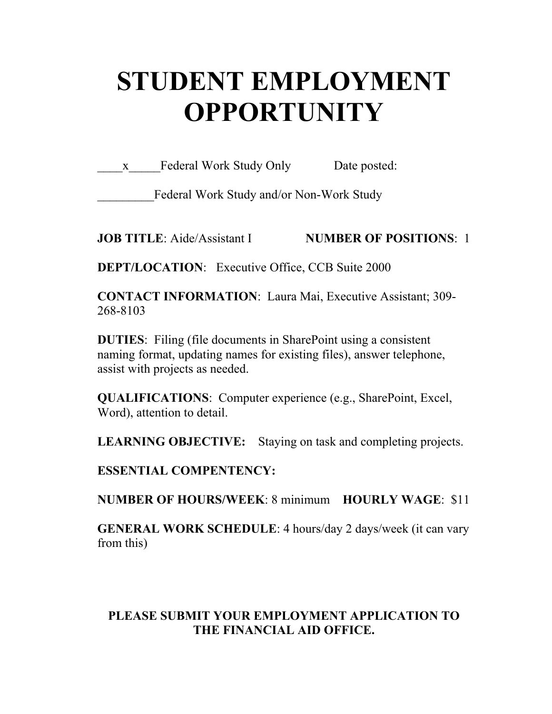# **STUDENT EMPLOYMENT OPPORTUNITY**

x Federal Work Study Only Date posted:

Federal Work Study and/or Non-Work Study

**JOB TITLE**: Aide/Assistant I **NUMBER OF POSITIONS**: 1

**DEPT/LOCATION:** Executive Office, CCB Suite 2000

**CONTACT INFORMATION**: Laura Mai, Executive Assistant; 309- 268-8103

**DUTIES**: Filing (file documents in SharePoint using a consistent naming format, updating names for existing files), answer telephone, assist with projects as needed.

**QUALIFICATIONS**: Computer experience (e.g., SharePoint, Excel, Word), attention to detail.

**LEARNING OBJECTIVE:** Staying on task and completing projects.

**ESSENTIAL COMPENTENCY:** 

**NUMBER OF HOURS/WEEK**: 8 minimum **HOURLY WAGE**: \$11

**GENERAL WORK SCHEDULE**: 4 hours/day 2 days/week (it can vary from this)

## **PLEASE SUBMIT YOUR EMPLOYMENT APPLICATION TO THE FINANCIAL AID OFFICE.**